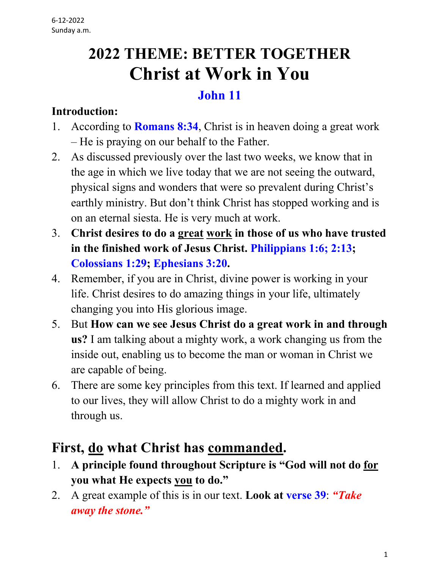# **2022 THEME: BETTER TOGETHER Christ at Work in You**

#### **John 11**

#### **Introduction:**

- 1. According to **Romans 8:34**, Christ is in heaven doing a great work – He is praying on our behalf to the Father.
- 2. As discussed previously over the last two weeks, we know that in the age in which we live today that we are not seeing the outward, physical signs and wonders that were so prevalent during Christ's earthly ministry. But don't think Christ has stopped working and is on an eternal siesta. He is very much at work.
- 3. **Christ desires to do a great work in those of us who have trusted in the finished work of Jesus Christ. Philippians 1:6; 2:13; Colossians 1:29; Ephesians 3:20.**
- 4. Remember, if you are in Christ, divine power is working in your life. Christ desires to do amazing things in your life, ultimately changing you into His glorious image.
- 5. But **How can we see Jesus Christ do a great work in and through us?** I am talking about a mighty work, a work changing us from the inside out, enabling us to become the man or woman in Christ we are capable of being.
- 6. There are some key principles from this text. If learned and applied to our lives, they will allow Christ to do a mighty work in and through us.

# **First, do what Christ has commanded.**

- 1. **A principle found throughout Scripture is "God will not do for you what He expects you to do."**
- 2. A great example of this is in our text. **Look at verse 39**: *"Take away the stone."*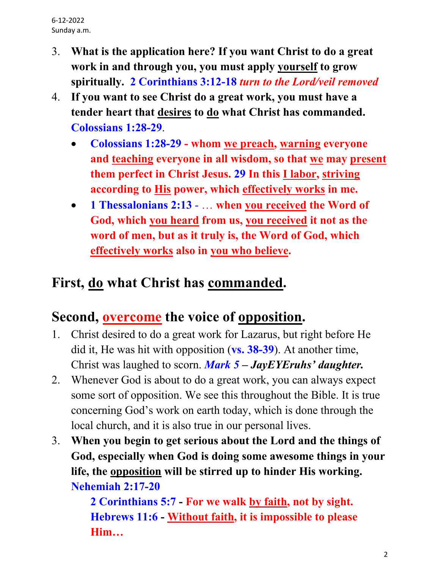- 3. **What is the application here? If you want Christ to do a great work in and through you, you must apply yourself to grow spiritually. 2 Corinthians 3:12-18** *turn to the Lord/veil removed*
- 4. **If you want to see Christ do a great work, you must have a tender heart that desires to do what Christ has commanded. Colossians 1:28-29**.
	- **Colossians 1:28-29 - whom we preach, warning everyone and teaching everyone in all wisdom, so that we may present them perfect in Christ Jesus. 29 In this I labor, striving according to His power, which effectively works in me.**
	- **1 Thessalonians 2:13** … **when you received the Word of God, which you heard from us, you received it not as the word of men, but as it truly is, the Word of God, which effectively works also in you who believe.**

# **First, do what Christ has commanded.**

# **Second, overcome the voice of opposition.**

- 1. Christ desired to do a great work for Lazarus, but right before He did it, He was hit with opposition (**vs. 38-39**). At another time, Christ was laughed to scorn. *Mark 5 – JayEYEruhs' daughter.*
- 2. Whenever God is about to do a great work, you can always expect some sort of opposition. We see this throughout the Bible. It is true concerning God's work on earth today, which is done through the local church, and it is also true in our personal lives.
- 3. **When you begin to get serious about the Lord and the things of God, especially when God is doing some awesome things in your life, the opposition will be stirred up to hinder His working. Nehemiah 2:17-20**

 **2 Corinthians 5:7 - For we walk by faith, not by sight. Hebrews 11:6 - Without faith, it is impossible to please Him…**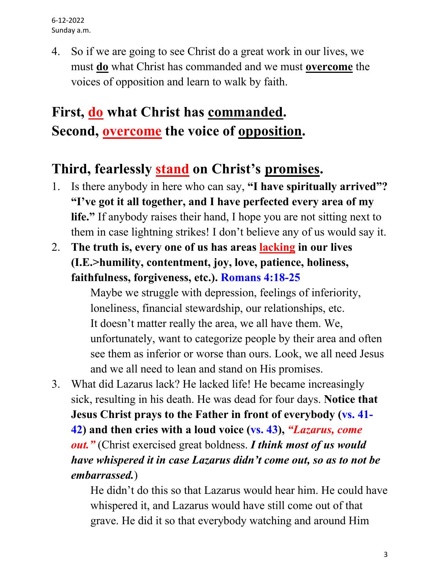4. So if we are going to see Christ do a great work in our lives, we must **do** what Christ has commanded and we must **overcome** the voices of opposition and learn to walk by faith.

# **First, do what Christ has commanded. Second, overcome the voice of opposition.**

#### **Third, fearlessly stand on Christ's promises.**

- 1. Is there anybody in here who can say, **"I have spiritually arrived"? "I've got it all together, and I have perfected every area of my life."** If anybody raises their hand, I hope you are not sitting next to them in case lightning strikes! I don't believe any of us would say it.
- 2. **The truth is, every one of us has areas lacking in our lives (I.E.>humility, contentment, joy, love, patience, holiness, faithfulness, forgiveness, etc.). Romans 4:18-25**

 Maybe we struggle with depression, feelings of inferiority, loneliness, financial stewardship, our relationships, etc. It doesn't matter really the area, we all have them. We, unfortunately, want to categorize people by their area and often see them as inferior or worse than ours. Look, we all need Jesus and we all need to lean and stand on His promises.

3. What did Lazarus lack? He lacked life! He became increasingly sick, resulting in his death. He was dead for four days. **Notice that Jesus Christ prays to the Father in front of everybody (vs. 41- 42) and then cries with a loud voice (vs. 43),** *"Lazarus, come out."* (Christ exercised great boldness. *I think most of us would have whispered it in case Lazarus didn't come out, so as to not be embarrassed.*)

> He didn't do this so that Lazarus would hear him. He could have whispered it, and Lazarus would have still come out of that grave. He did it so that everybody watching and around Him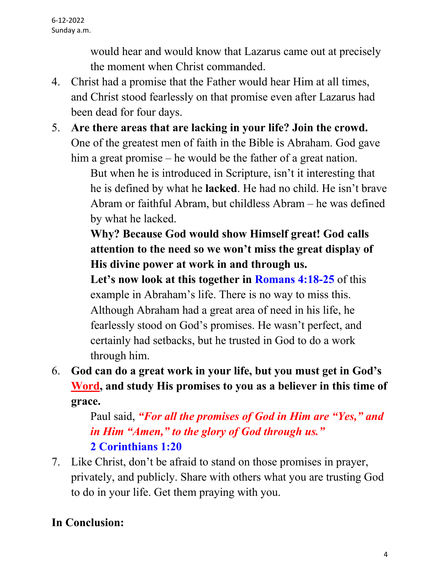would hear and would know that Lazarus came out at precisely the moment when Christ commanded.

- 4. Christ had a promise that the Father would hear Him at all times, and Christ stood fearlessly on that promise even after Lazarus had been dead for four days.
- 5. **Are there areas that are lacking in your life? Join the crowd.** One of the greatest men of faith in the Bible is Abraham. God gave him a great promise – he would be the father of a great nation.

 But when he is introduced in Scripture, isn't it interesting that he is defined by what he **lacked**. He had no child. He isn't brave Abram or faithful Abram, but childless Abram – he was defined by what he lacked.

 **Why? Because God would show Himself great! God calls attention to the need so we won't miss the great display of His divine power at work in and through us.**

 **Let's now look at this together in Romans 4:18-25** of this example in Abraham's life. There is no way to miss this. Although Abraham had a great area of need in his life, he fearlessly stood on God's promises. He wasn't perfect, and certainly had setbacks, but he trusted in God to do a work through him.

6. **God can do a great work in your life, but you must get in God's Word, and study His promises to you as a believer in this time of grace.**

> Paul said, *"For all the promises of God in Him are "Yes," and in Him "Amen," to the glory of God through us."*  **2 Corinthians 1:20**

7. Like Christ, don't be afraid to stand on those promises in prayer, privately, and publicly. Share with others what you are trusting God to do in your life. Get them praying with you.

#### **In Conclusion:**